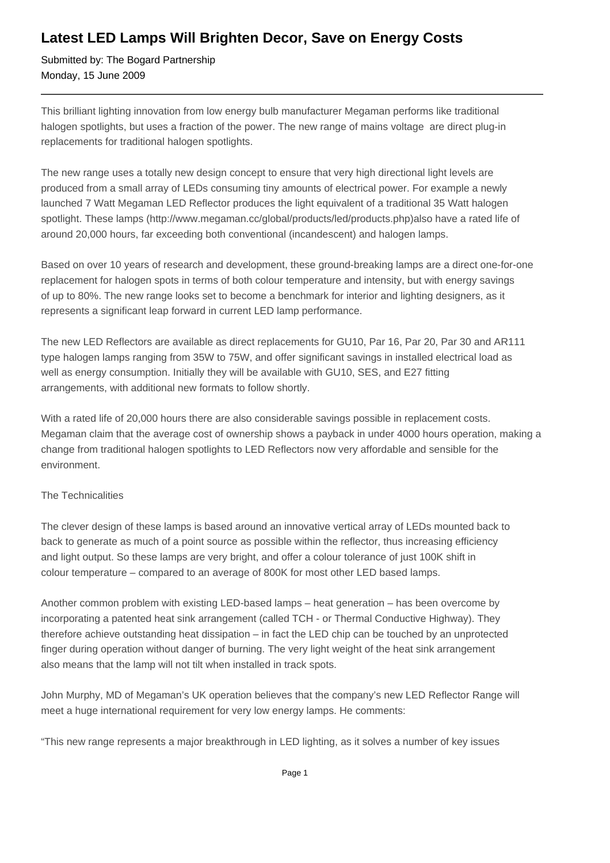## **Latest LED Lamps Will Brighten Decor, Save on Energy Costs**

Submitted by: The Bogard Partnership Monday, 15 June 2009

This brilliant lighting innovation from low energy bulb manufacturer Megaman performs like traditional halogen spotlights, but uses a fraction of the power. The new range of mains voltage are direct plug-in replacements for traditional halogen spotlights.

The new range uses a totally new design concept to ensure that very high directional light levels are produced from a small array of LEDs consuming tiny amounts of electrical power. For example a newly launched 7 Watt Megaman LED Reflector produces the light equivalent of a traditional 35 Watt halogen spotlight. These lamps (http://www.megaman.cc/global/products/led/products.php)also have a rated life of around 20,000 hours, far exceeding both conventional (incandescent) and halogen lamps.

Based on over 10 years of research and development, these ground-breaking lamps are a direct one-for-one replacement for halogen spots in terms of both colour temperature and intensity, but with energy savings of up to 80%. The new range looks set to become a benchmark for interior and lighting designers, as it represents a significant leap forward in current LED lamp performance.

The new LED Reflectors are available as direct replacements for GU10, Par 16, Par 20, Par 30 and AR111 type halogen lamps ranging from 35W to 75W, and offer significant savings in installed electrical load as well as energy consumption. Initially they will be available with GU10, SES, and E27 fitting arrangements, with additional new formats to follow shortly.

With a rated life of 20,000 hours there are also considerable savings possible in replacement costs. Megaman claim that the average cost of ownership shows a payback in under 4000 hours operation, making a change from traditional halogen spotlights to LED Reflectors now very affordable and sensible for the environment.

## The Technicalities

The clever design of these lamps is based around an innovative vertical array of LEDs mounted back to back to generate as much of a point source as possible within the reflector, thus increasing efficiency and light output. So these lamps are very bright, and offer a colour tolerance of just 100K shift in colour temperature – compared to an average of 800K for most other LED based lamps.

Another common problem with existing LED-based lamps – heat generation – has been overcome by incorporating a patented heat sink arrangement (called TCH - or Thermal Conductive Highway). They therefore achieve outstanding heat dissipation – in fact the LED chip can be touched by an unprotected finger during operation without danger of burning. The very light weight of the heat sink arrangement also means that the lamp will not tilt when installed in track spots.

John Murphy, MD of Megaman's UK operation believes that the company's new LED Reflector Range will meet a huge international requirement for very low energy lamps. He comments:

"This new range represents a major breakthrough in LED lighting, as it solves a number of key issues